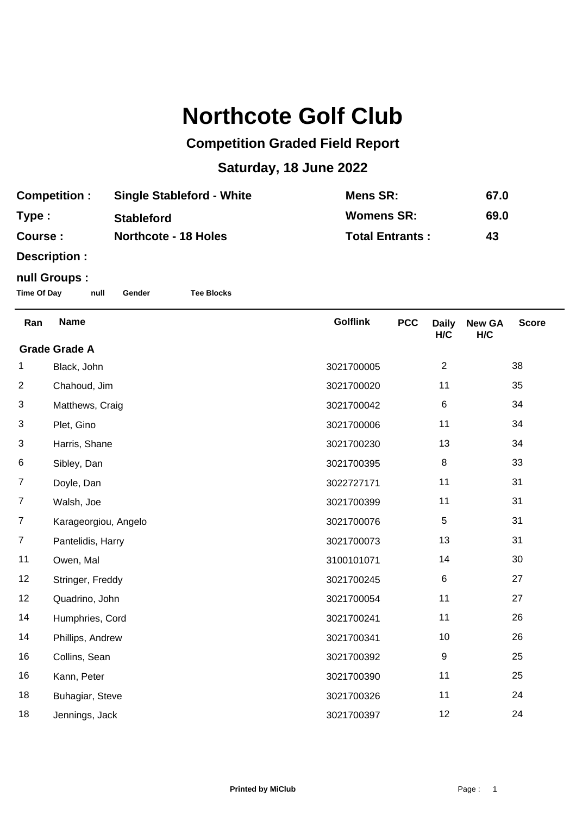## **Northcote Golf Club**

## **Competition Graded Field Report**

## **Saturday, 18 June 2022**

| <b>Competition:</b> | <b>Single Stableford - White</b> | Mens SR:               | 67.0 |
|---------------------|----------------------------------|------------------------|------|
| Type:               | <b>Stableford</b>                | <b>Womens SR:</b>      | 69.0 |
| Course :            | <b>Northcote - 18 Holes</b>      | <b>Total Entrants:</b> | 43   |

**Description :**

## **null Groups :**

**Time Of Day null Gender Tee Blocks**

| Ran                  | <b>Name</b>          | <b>Golflink</b> | <b>PCC</b> | <b>Daily</b><br>H/C | <b>New GA</b><br>H/C | <b>Score</b> |  |  |
|----------------------|----------------------|-----------------|------------|---------------------|----------------------|--------------|--|--|
| <b>Grade Grade A</b> |                      |                 |            |                     |                      |              |  |  |
| 1                    | Black, John          | 3021700005      |            | $\overline{2}$      |                      | 38           |  |  |
| $\overline{c}$       | Chahoud, Jim         | 3021700020      |            | 11                  |                      | 35           |  |  |
| 3                    | Matthews, Craig      | 3021700042      |            | 6                   |                      | 34           |  |  |
| 3                    | Plet, Gino           | 3021700006      |            | 11                  |                      | 34           |  |  |
| 3                    | Harris, Shane        | 3021700230      |            | 13                  |                      | 34           |  |  |
| 6                    | Sibley, Dan          | 3021700395      |            | $\, 8$              |                      | 33           |  |  |
| $\overline{7}$       | Doyle, Dan           | 3022727171      |            | 11                  |                      | 31           |  |  |
| $\overline{7}$       | Walsh, Joe           | 3021700399      |            | 11                  |                      | 31           |  |  |
| $\overline{7}$       | Karageorgiou, Angelo | 3021700076      |            | 5                   |                      | 31           |  |  |
| $\overline{7}$       | Pantelidis, Harry    | 3021700073      |            | 13                  |                      | 31           |  |  |
| 11                   | Owen, Mal            | 3100101071      |            | 14                  |                      | 30           |  |  |
| 12                   | Stringer, Freddy     | 3021700245      |            | $\,6$               |                      | 27           |  |  |
| 12                   | Quadrino, John       | 3021700054      |            | 11                  |                      | 27           |  |  |
| 14                   | Humphries, Cord      | 3021700241      |            | 11                  |                      | 26           |  |  |
| 14                   | Phillips, Andrew     | 3021700341      |            | 10                  |                      | 26           |  |  |
| 16                   | Collins, Sean        | 3021700392      |            | 9                   |                      | 25           |  |  |
| 16                   | Kann, Peter          | 3021700390      |            | 11                  |                      | 25           |  |  |
| 18                   | Buhagiar, Steve      | 3021700326      |            | 11                  |                      | 24           |  |  |
| 18                   | Jennings, Jack       | 3021700397      |            | 12                  |                      | 24           |  |  |